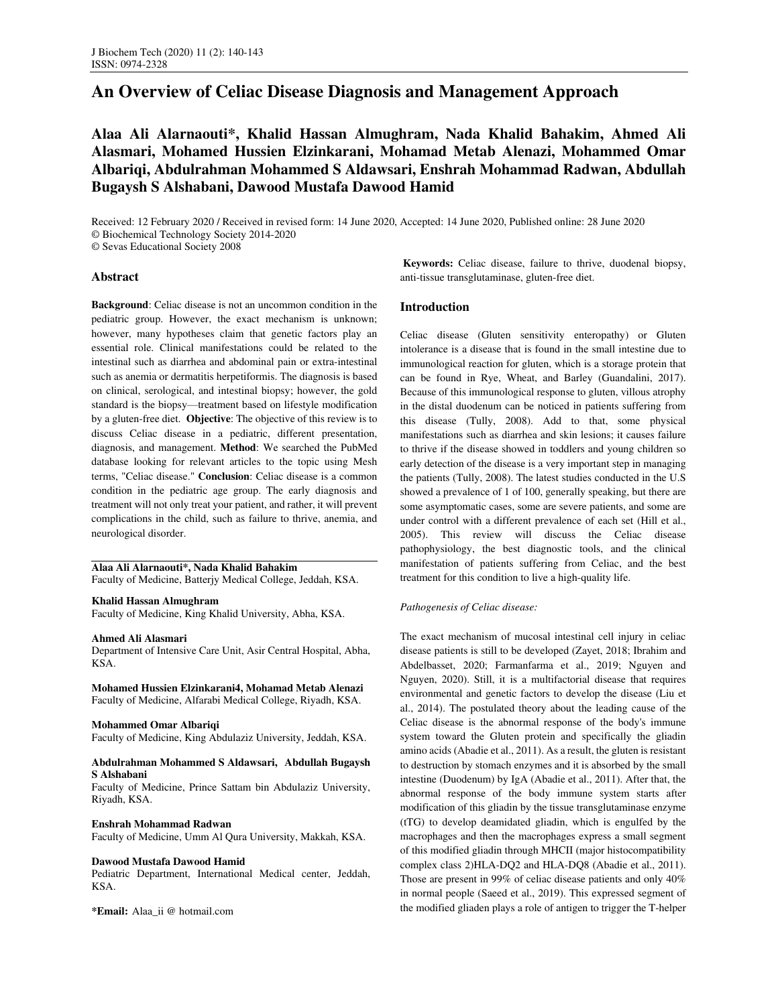# **An Overview of Celiac Disease Diagnosis and Management Approach**

**Alaa Ali Alarnaouti\*, Khalid Hassan Almughram, Nada Khalid Bahakim, Ahmed Ali Alasmari, Mohamed Hussien Elzinkarani, Mohamad Metab Alenazi, Mohammed Omar Albariqi, Abdulrahman Mohammed S Aldawsari, Enshrah Mohammad Radwan, Abdullah Bugaysh S Alshabani, Dawood Mustafa Dawood Hamid** 

Received: 12 February 2020 / Received in revised form: 14 June 2020, Accepted: 14 June 2020, Published online: 28 June 2020 © Biochemical Technology Society 2014-2020 © Sevas Educational Society 2008

**Abstract** 

**Background**: Celiac disease is not an uncommon condition in the pediatric group. However, the exact mechanism is unknown; however, many hypotheses claim that genetic factors play an essential role. Clinical manifestations could be related to the intestinal such as diarrhea and abdominal pain or extra-intestinal such as anemia or dermatitis herpetiformis. The diagnosis is based on clinical, serological, and intestinal biopsy; however, the gold standard is the biopsy—treatment based on lifestyle modification by a gluten-free diet. **Objective**: The objective of this review is to discuss Celiac disease in a pediatric, different presentation, diagnosis, and management. **Method**: We searched the PubMed database looking for relevant articles to the topic using Mesh terms, "Celiac disease." **Conclusion**: Celiac disease is a common condition in the pediatric age group. The early diagnosis and treatment will not only treat your patient, and rather, it will prevent complications in the child, such as failure to thrive, anemia, and neurological disorder.

# **Alaa Ali Alarnaouti\*, Nada Khalid Bahakim**

Faculty of Medicine, Batterjy Medical College, Jeddah, KSA.

# **Khalid Hassan Almughram**

Faculty of Medicine, King Khalid University, Abha, KSA.

### **Ahmed Ali Alasmari**

Department of Intensive Care Unit, Asir Central Hospital, Abha, KSA.

**Mohamed Hussien Elzinkarani4, Mohamad Metab Alenazi**  Faculty of Medicine, Alfarabi Medical College, Riyadh, KSA.

### **Mohammed Omar Albariqi**

Faculty of Medicine, King Abdulaziz University, Jeddah, KSA.

### **Abdulrahman Mohammed S Aldawsari, Abdullah Bugaysh S Alshabani**

Faculty of Medicine, Prince Sattam bin Abdulaziz University, Riyadh, KSA.

### **Enshrah Mohammad Radwan**

Faculty of Medicine, Umm Al Qura University, Makkah, KSA.

# **Dawood Mustafa Dawood Hamid**

Pediatric Department, International Medical center, Jeddah, KSA.

**\*Email:** Alaa\_ii @ hotmail.com

 **Keywords:** Celiac disease, failure to thrive, duodenal biopsy, anti-tissue transglutaminase, gluten-free diet.

# **Introduction**

Celiac disease (Gluten sensitivity enteropathy) or Gluten intolerance is a disease that is found in the small intestine due to immunological reaction for gluten, which is a storage protein that can be found in Rye, Wheat, and Barley (Guandalini, 2017). Because of this immunological response to gluten, villous atrophy in the distal duodenum can be noticed in patients suffering from this disease (Tully, 2008). Add to that, some physical manifestations such as diarrhea and skin lesions; it causes failure to thrive if the disease showed in toddlers and young children so early detection of the disease is a very important step in managing the patients (Tully, 2008). The latest studies conducted in the U.S showed a prevalence of 1 of 100, generally speaking, but there are some asymptomatic cases, some are severe patients, and some are under control with a different prevalence of each set (Hill et al., 2005). This review will discuss the Celiac disease pathophysiology, the best diagnostic tools, and the clinical manifestation of patients suffering from Celiac, and the best treatment for this condition to live a high-quality life.

# *Pathogenesis of Celiac disease:*

The exact mechanism of mucosal intestinal cell injury in celiac disease patients is still to be developed (Zayet, 2018; Ibrahim and Abdelbasset, 2020; Farmanfarma et al., 2019; Nguyen and Nguyen, 2020). Still, it is a multifactorial disease that requires environmental and genetic factors to develop the disease (Liu et al., 2014). The postulated theory about the leading cause of the Celiac disease is the abnormal response of the body's immune system toward the Gluten protein and specifically the gliadin amino acids (Abadie et al., 2011). As a result, the gluten is resistant to destruction by stomach enzymes and it is absorbed by the small intestine (Duodenum) by IgA (Abadie et al., 2011). After that, the abnormal response of the body immune system starts after modification of this gliadin by the tissue transglutaminase enzyme (tTG) to develop deamidated gliadin, which is engulfed by the macrophages and then the macrophages express a small segment of this modified gliadin through MHCII (major histocompatibility complex class 2)HLA-DQ2 and HLA-DQ8 (Abadie et al., 2011). Those are present in 99% of celiac disease patients and only 40% in normal people (Saeed et al., 2019). This expressed segment of the modified gliaden plays a role of antigen to trigger the T-helper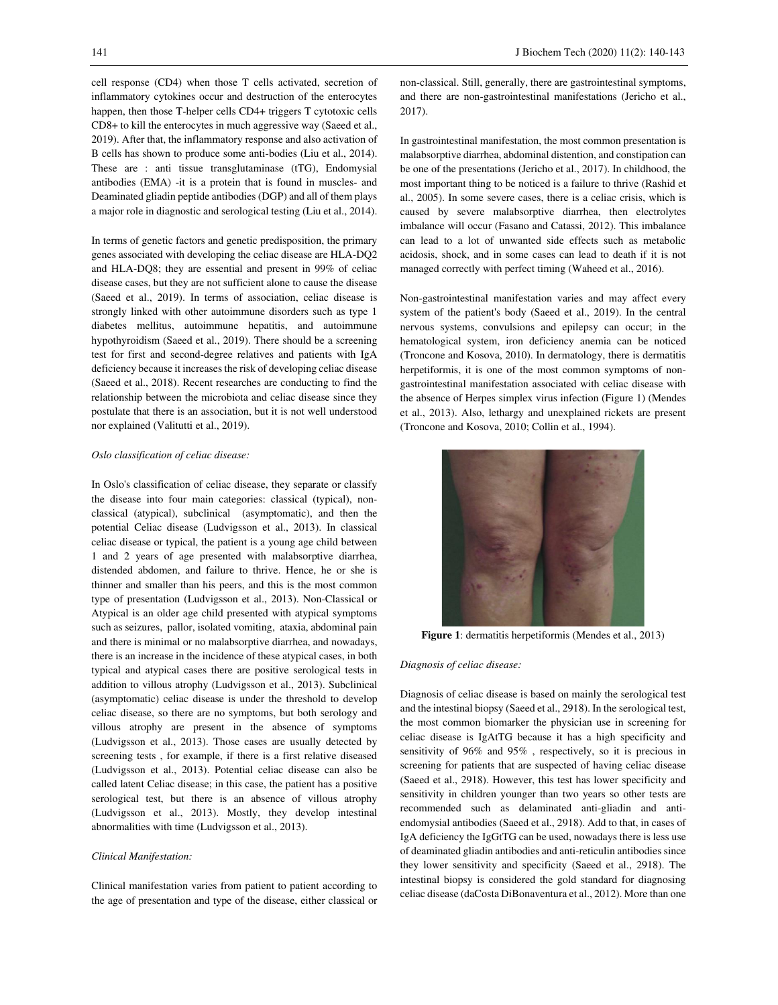cell response (CD4) when those T cells activated, secretion of inflammatory cytokines occur and destruction of the enterocytes happen, then those T-helper cells CD4+ triggers T cytotoxic cells CD8+ to kill the enterocytes in much aggressive way (Saeed et al., 2019). After that, the inflammatory response and also activation of B cells has shown to produce some anti-bodies (Liu et al., 2014). These are : anti tissue transglutaminase (tTG), Endomysial antibodies (EMA) -it is a protein that is found in muscles- and Deaminated gliadin peptide antibodies (DGP) and all of them plays a major role in diagnostic and serological testing (Liu et al., 2014).

In terms of genetic factors and genetic predisposition, the primary genes associated with developing the celiac disease are HLA-DQ2 and HLA-DQ8; they are essential and present in 99% of celiac disease cases, but they are not sufficient alone to cause the disease (Saeed et al., 2019). In terms of association, celiac disease is strongly linked with other autoimmune disorders such as type 1 diabetes mellitus, autoimmune hepatitis, and autoimmune hypothyroidism (Saeed et al., 2019). There should be a screening test for first and second-degree relatives and patients with IgA deficiency because it increases the risk of developing celiac disease (Saeed et al., 2018). Recent researches are conducting to find the relationship between the microbiota and celiac disease since they postulate that there is an association, but it is not well understood nor explained (Valitutti et al., 2019).

# *Oslo classification of celiac disease:*

In Oslo's classification of celiac disease, they separate or classify the disease into four main categories: classical (typical), nonclassical (atypical), subclinical (asymptomatic), and then the potential Celiac disease (Ludvigsson et al., 2013). In classical celiac disease or typical, the patient is a young age child between 1 and 2 years of age presented with malabsorptive diarrhea, distended abdomen, and failure to thrive. Hence, he or she is thinner and smaller than his peers, and this is the most common type of presentation (Ludvigsson et al., 2013). Non-Classical or Atypical is an older age child presented with atypical symptoms such as seizures, pallor, isolated vomiting, ataxia, abdominal pain and there is minimal or no malabsorptive diarrhea, and nowadays, there is an increase in the incidence of these atypical cases, in both typical and atypical cases there are positive serological tests in addition to villous atrophy (Ludvigsson et al., 2013). Subclinical (asymptomatic) celiac disease is under the threshold to develop celiac disease, so there are no symptoms, but both serology and villous atrophy are present in the absence of symptoms (Ludvigsson et al., 2013). Those cases are usually detected by screening tests , for example, if there is a first relative diseased (Ludvigsson et al., 2013). Potential celiac disease can also be called latent Celiac disease; in this case, the patient has a positive serological test, but there is an absence of villous atrophy (Ludvigsson et al., 2013). Mostly, they develop intestinal abnormalities with time (Ludvigsson et al., 2013).

## *Clinical Manifestation:*

Clinical manifestation varies from patient to patient according to the age of presentation and type of the disease, either classical or non-classical. Still, generally, there are gastrointestinal symptoms, and there are non-gastrointestinal manifestations (Jericho et al., 2017).

In gastrointestinal manifestation, the most common presentation is malabsorptive diarrhea, abdominal distention, and constipation can be one of the presentations (Jericho et al., 2017). In childhood, the most important thing to be noticed is a failure to thrive (Rashid et al., 2005). In some severe cases, there is a celiac crisis, which is caused by severe malabsorptive diarrhea, then electrolytes imbalance will occur (Fasano and Catassi, 2012). This imbalance can lead to a lot of unwanted side effects such as metabolic acidosis, shock, and in some cases can lead to death if it is not managed correctly with perfect timing (Waheed et al., 2016).

Non-gastrointestinal manifestation varies and may affect every system of the patient's body (Saeed et al., 2019). In the central nervous systems, convulsions and epilepsy can occur; in the hematological system, iron deficiency anemia can be noticed (Troncone and Kosova, 2010). In dermatology, there is dermatitis herpetiformis, it is one of the most common symptoms of nongastrointestinal manifestation associated with celiac disease with the absence of Herpes simplex virus infection (Figure 1) (Mendes et al., 2013). Also, lethargy and unexplained rickets are present (Troncone and Kosova, 2010; Collin et al., 1994).



**Figure 1**: dermatitis herpetiformis (Mendes et al., 2013)

#### *Diagnosis of celiac disease:*

Diagnosis of celiac disease is based on mainly the serological test and the intestinal biopsy (Saeed et al., 2918). In the serological test, the most common biomarker the physician use in screening for celiac disease is IgAtTG because it has a high specificity and sensitivity of 96% and 95% , respectively, so it is precious in screening for patients that are suspected of having celiac disease (Saeed et al., 2918). However, this test has lower specificity and sensitivity in children younger than two years so other tests are recommended such as delaminated anti-gliadin and antiendomysial antibodies (Saeed et al., 2918). Add to that, in cases of IgA deficiency the IgGtTG can be used, nowadays there is less use of deaminated gliadin antibodies and anti-reticulin antibodies since they lower sensitivity and specificity (Saeed et al., 2918). The intestinal biopsy is considered the gold standard for diagnosing celiac disease (daCosta DiBonaventura et al., 2012). More than one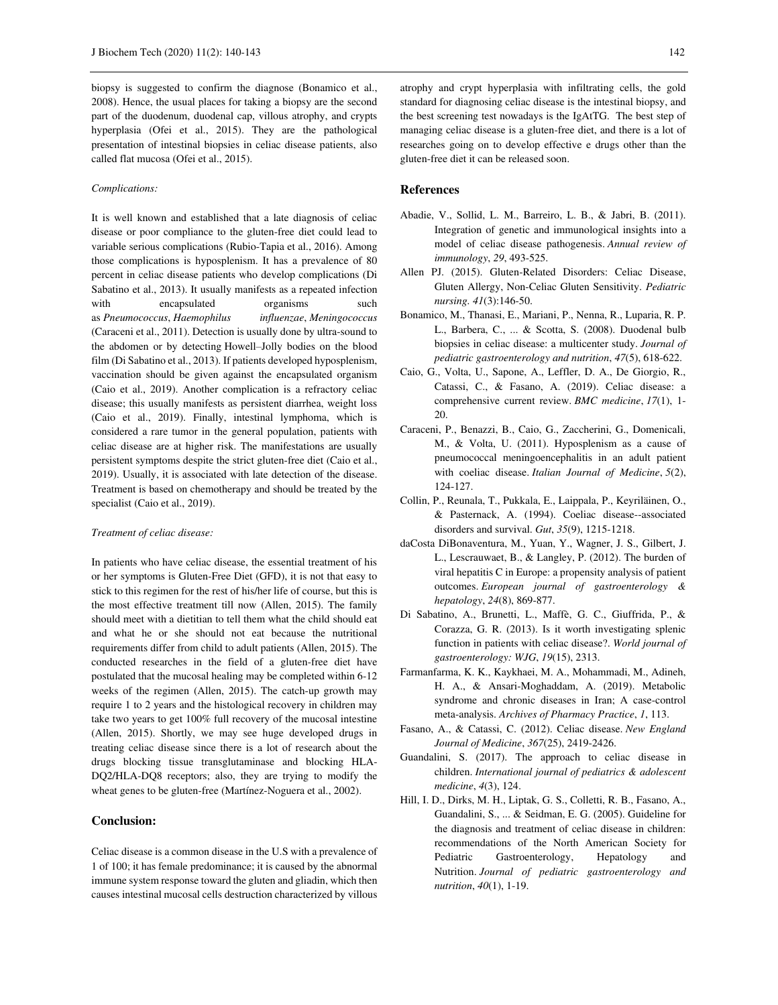biopsy is suggested to confirm the diagnose (Bonamico et al., 2008). Hence, the usual places for taking a biopsy are the second part of the duodenum, duodenal cap, villous atrophy, and crypts hyperplasia (Ofei et al., 2015). They are the pathological presentation of intestinal biopsies in celiac disease patients, also called flat mucosa (Ofei et al., 2015).

## *Complications:*

It is well known and established that a late diagnosis of celiac disease or poor compliance to the gluten-free diet could lead to variable serious complications (Rubio-Tapia et al., 2016). Among those complications is hyposplenism. It has a prevalence of 80 percent in celiac disease patients who develop complications (Di Sabatino et al., 2013). It usually manifests as a repeated infection with encapsulated organisms such as *Pneumococcus*, *Haemophilus influenzae*, *Meningococcus*  (Caraceni et al., 2011). Detection is usually done by ultra-sound to the abdomen or by detecting Howell–Jolly bodies on the blood film (Di Sabatino et al., 2013). If patients developed hyposplenism, vaccination should be given against the encapsulated organism (Caio et al., 2019). Another complication is a refractory celiac disease; this usually manifests as persistent diarrhea, weight loss (Caio et al., 2019). Finally, intestinal lymphoma, which is considered a rare tumor in the general population, patients with celiac disease are at higher risk. The manifestations are usually persistent symptoms despite the strict gluten-free diet (Caio et al., 2019). Usually, it is associated with late detection of the disease. Treatment is based on chemotherapy and should be treated by the specialist (Caio et al., 2019).

# *Treatment of celiac disease:*

In patients who have celiac disease, the essential treatment of his or her symptoms is Gluten-Free Diet (GFD), it is not that easy to stick to this regimen for the rest of his/her life of course, but this is the most effective treatment till now (Allen, 2015). The family should meet with a dietitian to tell them what the child should eat and what he or she should not eat because the nutritional requirements differ from child to adult patients (Allen, 2015). The conducted researches in the field of a gluten-free diet have postulated that the mucosal healing may be completed within 6-12 weeks of the regimen (Allen, 2015). The catch-up growth may require 1 to 2 years and the histological recovery in children may take two years to get 100% full recovery of the mucosal intestine (Allen, 2015). Shortly, we may see huge developed drugs in treating celiac disease since there is a lot of research about the drugs blocking tissue transglutaminase and blocking HLA-DQ2/HLA-DQ8 receptors; also, they are trying to modify the wheat genes to be gluten-free (Martínez-Noguera et al., 2002).

# **Conclusion:**

Celiac disease is a common disease in the U.S with a prevalence of 1 of 100; it has female predominance; it is caused by the abnormal immune system response toward the gluten and gliadin, which then causes intestinal mucosal cells destruction characterized by villous atrophy and crypt hyperplasia with infiltrating cells, the gold standard for diagnosing celiac disease is the intestinal biopsy, and the best screening test nowadays is the IgAtTG. The best step of managing celiac disease is a gluten-free diet, and there is a lot of researches going on to develop effective e drugs other than the gluten-free diet it can be released soon.

## **References**

- Abadie, V., Sollid, L. M., Barreiro, L. B., & Jabri, B. (2011). Integration of genetic and immunological insights into a model of celiac disease pathogenesis. *Annual review of immunology*, *29*, 493-525.
- Allen PJ. (2015). Gluten-Related Disorders: Celiac Disease, Gluten Allergy, Non-Celiac Gluten Sensitivity. *Pediatric nursing. 41*(3):146-50.
- Bonamico, M., Thanasi, E., Mariani, P., Nenna, R., Luparia, R. P. L., Barbera, C., ... & Scotta, S. (2008). Duodenal bulb biopsies in celiac disease: a multicenter study. *Journal of pediatric gastroenterology and nutrition*, *47*(5), 618-622.
- Caio, G., Volta, U., Sapone, A., Leffler, D. A., De Giorgio, R., Catassi, C., & Fasano, A. (2019). Celiac disease: a comprehensive current review. *BMC medicine*, *17*(1), 1- 20.
- Caraceni, P., Benazzi, B., Caio, G., Zaccherini, G., Domenicali, M., & Volta, U. (2011). Hyposplenism as a cause of pneumococcal meningoencephalitis in an adult patient with coeliac disease. *Italian Journal of Medicine*, *5*(2), 124-127.
- Collin, P., Reunala, T., Pukkala, E., Laippala, P., Keyriläinen, O., & Pasternack, A. (1994). Coeliac disease--associated disorders and survival. *Gut*, *35*(9), 1215-1218.
- daCosta DiBonaventura, M., Yuan, Y., Wagner, J. S., Gilbert, J. L., Lescrauwaet, B., & Langley, P. (2012). The burden of viral hepatitis C in Europe: a propensity analysis of patient outcomes. *European journal of gastroenterology & hepatology*, *24*(8), 869-877.
- Di Sabatino, A., Brunetti, L., Maffè, G. C., Giuffrida, P., & Corazza, G. R. (2013). Is it worth investigating splenic function in patients with celiac disease?. *World journal of gastroenterology: WJG*, *19*(15), 2313.
- Farmanfarma, K. K., Kaykhaei, M. A., Mohammadi, M., Adineh, H. A., & Ansari-Moghaddam, A. (2019). Metabolic syndrome and chronic diseases in Iran; A case-control meta-analysis. *Archives of Pharmacy Practice*, *1*, 113.
- Fasano, A., & Catassi, C. (2012). Celiac disease. *New England Journal of Medicine*, *367*(25), 2419-2426.
- Guandalini, S. (2017). The approach to celiac disease in children. *International journal of pediatrics & adolescent medicine*, *4*(3), 124.
- Hill, I. D., Dirks, M. H., Liptak, G. S., Colletti, R. B., Fasano, A., Guandalini, S., ... & Seidman, E. G. (2005). Guideline for the diagnosis and treatment of celiac disease in children: recommendations of the North American Society for Pediatric Gastroenterology, Hepatology and Nutrition. *Journal of pediatric gastroenterology and nutrition*, *40*(1), 1-19.